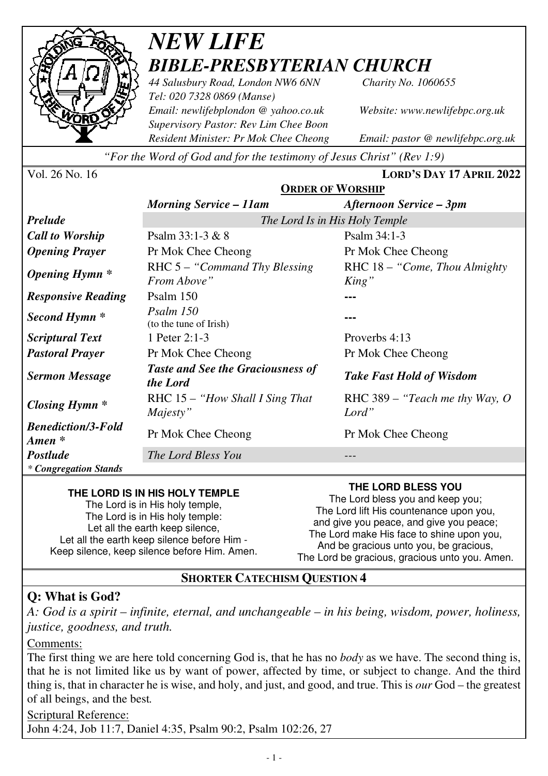

## *NEW LIFE BIBLE-PRESBYTERIAN CHURCH*

*44 Salusbury Road, London NW6 6NN Charity No. 1060655 Tel: 020 7328 0869 (Manse) Email: newlifebplondon @ yahoo.co.uk Website: www.newlifebpc.org.uk Supervisory Pastor: Rev Lim Chee Boon Resident Minister: Pr Mok Chee Cheong Email: pastor @ newlifebpc.org.uk* 

*"For the Word of God and for the testimony of Jesus Christ" (Rev 1:9)*

| Vol. 26 No. 16 |
|----------------|
|                |

Vol. 26 No. 16 **LORD'S DAY 17 APRIL 2022**

|                                                 | <b>ORDER OF WORSHIP</b>                              |                                           |  |
|-------------------------------------------------|------------------------------------------------------|-------------------------------------------|--|
|                                                 | <b>Morning Service – 11am</b>                        | Afternoon Service – 3pm                   |  |
| <b>Prelude</b>                                  | The Lord Is in His Holy Temple                       |                                           |  |
| <b>Call to Worship</b>                          | Psalm $33:1-3 & 8$                                   | Psalm $34:1-3$                            |  |
| <b>Opening Prayer</b>                           | Pr Mok Chee Cheong                                   | Pr Mok Chee Cheong                        |  |
| <b>Opening Hymn</b> *                           | $RHC$ 5 – "Command Thy Blessing"<br>From Above"      | RHC $18 -$ "Come, Thou Almighty"<br>King" |  |
| <b>Responsive Reading</b>                       | Psalm 150                                            |                                           |  |
| Second Hymn <sup>*</sup>                        | Psalm 150<br>(to the tune of Irish)                  |                                           |  |
| <b>Scriptural Text</b>                          | 1 Peter 2:1-3                                        | Proverbs 4:13                             |  |
| <b>Pastoral Prayer</b>                          | Pr Mok Chee Cheong                                   | Pr Mok Chee Cheong                        |  |
| <b>Sermon Message</b>                           | <b>Taste and See the Graciousness of</b><br>the Lord | <b>Take Fast Hold of Wisdom</b>           |  |
| Closing Hymn $*$                                | RHC $15 -$ "How Shall I Sing That"<br>Majesty"       | RHC 389 – "Teach me thy Way, O<br>Lord"   |  |
| <b>Benediction/3-Fold</b><br>$A$ <i>men</i> $*$ | Pr Mok Chee Cheong                                   | Pr Mok Chee Cheong                        |  |
| <b>Postlude</b>                                 | The Lord Bless You                                   |                                           |  |
| <i>* Congregation Stands</i>                    |                                                      |                                           |  |

#### **THE LORD IS IN HIS HOLY TEMPLE**

The Lord is in His holy temple, The Lord is in His holy temple: Let all the earth keep silence, Let all the earth keep silence before Him - Keep silence, keep silence before Him. Amen. **THE LORD BLESS YOU** 

The Lord bless you and keep you; The Lord lift His countenance upon you, and give you peace, and give you peace; The Lord make His face to shine upon you, And be gracious unto you, be gracious, The Lord be gracious, gracious unto you. Amen.

#### **SHORTER CATECHISM QUESTION 4**

#### **Q: What is God?**

*A: God is a spirit – infinite, eternal, and unchangeable – in his being, wisdom, power, holiness, justice, goodness, and truth.* 

#### Comments:

The first thing we are here told concerning God is, that he has no *body* as we have. The second thing is, that he is not limited like us by want of power, affected by time, or subject to change. And the third thing is, that in character he is wise, and holy, and just, and good, and true. This is *our* God – the greatest of all beings, and the best*.*

Scriptural Reference: John 4:24, Job 11:7, Daniel 4:35, Psalm 90:2, Psalm 102:26, 27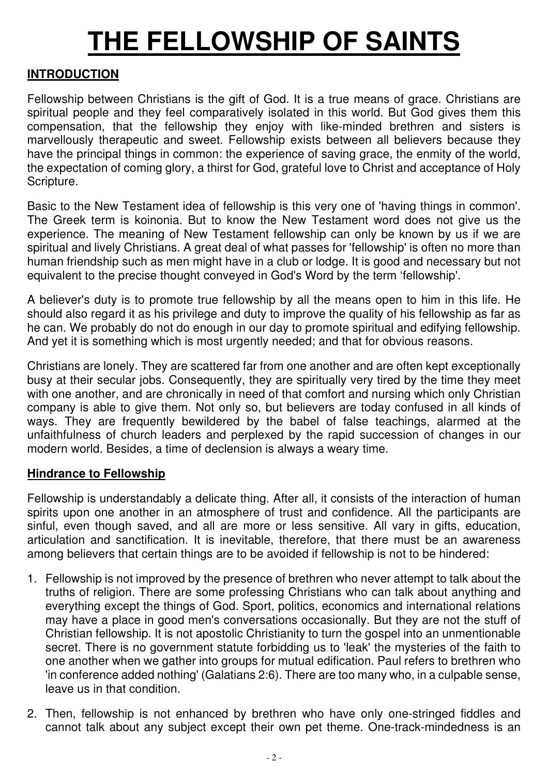# **THE FELLOWSHIP OF SAINTS**

#### **INTRODUCTION**

Fellowship between Christians is the gift of God. It is a true means of grace. Christians are spiritual people and they feel comparatively isolated in this world. But God gives them this compensation, that the fellowship they enjoy with like-minded brethren and sisters is marvellously therapeutic and sweet. Fellowship exists between all believers because they have the principal things in common: the experience of saving grace, the enmity of the world, the expectation of coming glory, a thirst for God, grateful love to Christ and acceptance of Holy Scripture.

Basic to the New Testament idea of fellowship is this very one of 'having things in common'. The Greek term is koinonia. But to know the New Testament word does not give us the experience. The meaning of New Testament fellowship can only be known by us if we are spiritual and lively Christians. A great deal of what passes for 'fellowship' is often no more than human friendship such as men might have in a club or lodge. It is good and necessary but not equivalent to the precise thought conveyed in God's Word by the term 'fellowship'.

A believer's duty is to promote true fellowship by all the means open to him in this life. He should also regard it as his privilege and duty to improve the quality of his fellowship as far as he can. We probably do not do enough in our day to promote spiritual and edifying fellowship. And yet it is something which is most urgently needed; and that for obvious reasons.

Christians are lonely. They are scattered far from one another and are often kept exceptionally busy at their secular jobs. Consequently, they are spiritually very tired by the time they meet with one another, and are chronically in need of that comfort and nursing which only Christian company is able to give them. Not only so, but believers are today confused in all kinds of ways. They are frequently bewildered by the babel of false teachings, alarmed at the unfaithfulness of church leaders and perplexed by the rapid succession of changes in our modern world. Besides, a time of declension is always a weary time.

#### **Hindrance to Fellowship**

Fellowship is understandably a delicate thing. After all, it consists of the interaction of human spirits upon one another in an atmosphere of trust and confidence. All the participants are sinful, even though saved, and all are more or less sensitive. All vary in gifts, education, articulation and sanctification. It is inevitable, therefore, that there must be an awareness among believers that certain things are to be avoided if fellowship is not to be hindered:

- 1. Fellowship is not improved by the presence of brethren who never attempt to talk about the truths of religion. There are some professing Christians who can talk about anything and everything except the things of God. Sport, politics, economics and international relations may have a place in good men's conversations occasionally. But they are not the stuff of Christian fellowship. It is not apostolic Christianity to turn the gospel into an unmentionable secret. There is no government statute forbidding us to 'leak' the mysteries of the faith to one another when we gather into groups for mutual edification. Paul refers to brethren who 'in conference added nothing' (Galatians 2:6). There are too many who, in a culpable sense, leave us in that condition.
- 2. Then, fellowship is not enhanced by brethren who have only one-stringed fiddles and cannot talk about any subject except their own pet theme. One-track-mindedness is an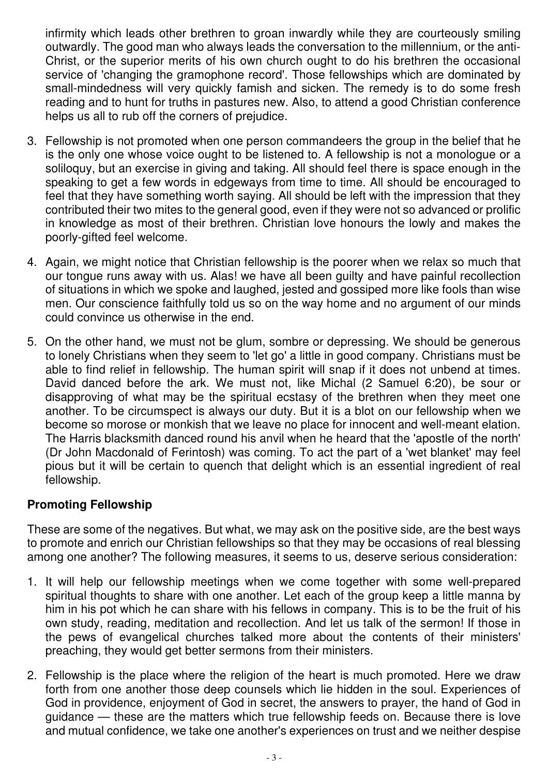infirmity which leads other brethren to groan inwardly while they are courteously smiling outwardly. The good man who always leads the conversation to the millennium, or the anti-Christ, or the superior merits of his own church ought to do his brethren the occasional service of 'changing the gramophone record'. Those fellowships which are dominated by small-mindedness will very quickly famish and sicken. The remedy is to do some fresh reading and to hunt for truths in pastures new. Also, to attend a good Christian conference helps us all to rub off the corners of prejudice.

- 3. Fellowship is not promoted when one person commandeers the group in the belief that he is the only one whose voice ought to be listened to. A fellowship is not a monologue or a soliloquy, but an exercise in giving and taking. All should feel there is space enough in the speaking to get a few words in edgeways from time to time. All should be encouraged to feel that they have something worth saying. All should be left with the impression that they contributed their two mites to the general good, even if they were not so advanced or prolific in knowledge as most of their brethren. Christian love honours the lowly and makes the poorly-gifted feel welcome.
- 4. Again, we might notice that Christian fellowship is the poorer when we relax so much that our tongue runs away with us. Alas! we have all been guilty and have painful recollection of situations in which we spoke and laughed, jested and gossiped more like fools than wise men. Our conscience faithfully told us so on the way home and no argument of our minds could convince us otherwise in the end.
- 5. On the other hand, we must not be glum, sombre or depressing. We should be generous to lonely Christians when they seem to 'let go' a little in good company. Christians must be able to find relief in fellowship. The human spirit will snap if it does not unbend at times. David danced before the ark. We must not, like Michal (2 Samuel 6:20), be sour or disapproving of what may be the spiritual ecstasy of the brethren when they meet one another. To be circumspect is always our duty. But it is a blot on our fellowship when we become so morose or monkish that we leave no place for innocent and well-meant elation. The Harris blacksmith danced round his anvil when he heard that the 'apostle of the north' (Dr John Macdonald of Ferintosh) was coming. To act the part of a 'wet blanket' may feel pious but it will be certain to quench that delight which is an essential ingredient of real fellowship.

#### **Promoting Fellowship**

These are some of the negatives. But what, we may ask on the positive side, are the best ways to promote and enrich our Christian fellowships so that they may be occasions of real blessing among one another? The following measures, it seems to us, deserve serious consideration:

- 1. It will help our fellowship meetings when we come together with some well-prepared spiritual thoughts to share with one another. Let each of the group keep a little manna by him in his pot which he can share with his fellows in company. This is to be the fruit of his own study, reading, meditation and recollection. And let us talk of the sermon! If those in the pews of evangelical churches talked more about the contents of their ministers' preaching, they would get better sermons from their ministers.
- 2. Fellowship is the place where the religion of the heart is much promoted. Here we draw forth from one another those deep counsels which lie hidden in the soul. Experiences of God in providence, enjoyment of God in secret, the answers to prayer, the hand of God in guidance — these are the matters which true fellowship feeds on. Because there is love and mutual confidence, we take one another's experiences on trust and we neither despise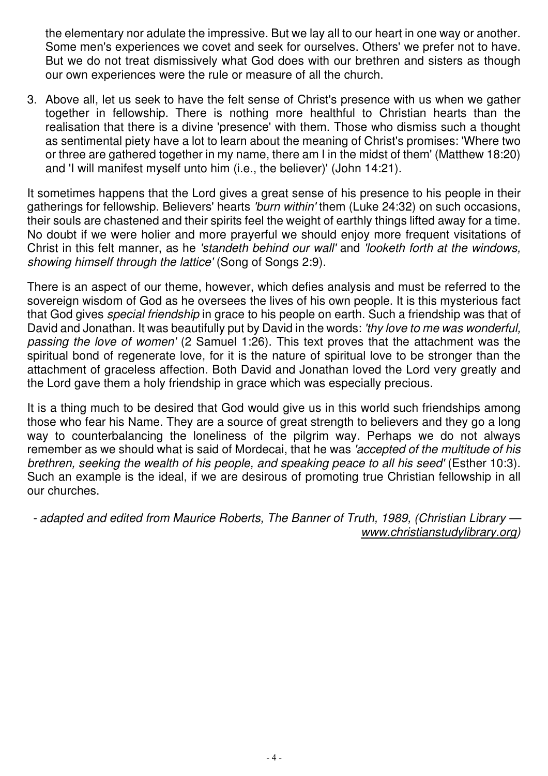the elementary nor adulate the impressive. But we lay all to our heart in one way or another. Some men's experiences we covet and seek for ourselves. Others' we prefer not to have. But we do not treat dismissively what God does with our brethren and sisters as though our own experiences were the rule or measure of all the church.

3. Above all, let us seek to have the felt sense of Christ's presence with us when we gather together in fellowship. There is nothing more healthful to Christian hearts than the realisation that there is a divine 'presence' with them. Those who dismiss such a thought as sentimental piety have a lot to learn about the meaning of Christ's promises: 'Where two or three are gathered together in my name, there am I in the midst of them' (Matthew 18:20) and 'I will manifest myself unto him (i.e., the believer)' (John 14:21).

It sometimes happens that the Lord gives a great sense of his presence to his people in their gatherings for fellowship. Believers' hearts 'burn within' them (Luke 24:32) on such occasions, their souls are chastened and their spirits feel the weight of earthly things lifted away for a time. No doubt if we were holier and more prayerful we should enjoy more frequent visitations of Christ in this felt manner, as he 'standeth behind our wall' and 'looketh forth at the windows, showing himself through the lattice' (Song of Songs 2:9).

There is an aspect of our theme, however, which defies analysis and must be referred to the sovereign wisdom of God as he oversees the lives of his own people. It is this mysterious fact that God gives special friendship in grace to his people on earth. Such a friendship was that of David and Jonathan. It was beautifully put by David in the words: 'thy love to me was wonderful, passing the love of women' (2 Samuel 1:26). This text proves that the attachment was the spiritual bond of regenerate love, for it is the nature of spiritual love to be stronger than the attachment of graceless affection. Both David and Jonathan loved the Lord very greatly and the Lord gave them a holy friendship in grace which was especially precious.

It is a thing much to be desired that God would give us in this world such friendships among those who fear his Name. They are a source of great strength to believers and they go a long way to counterbalancing the loneliness of the pilgrim way. Perhaps we do not always remember as we should what is said of Mordecai, that he was 'accepted of the multitude of his brethren, seeking the wealth of his people, and speaking peace to all his seed' (Esther 10:3). Such an example is the ideal, if we are desirous of promoting true Christian fellowship in all our churches.

- adapted and edited from Maurice Roberts, The Banner of Truth, 1989, (Christian Library www.christianstudylibrary.org)